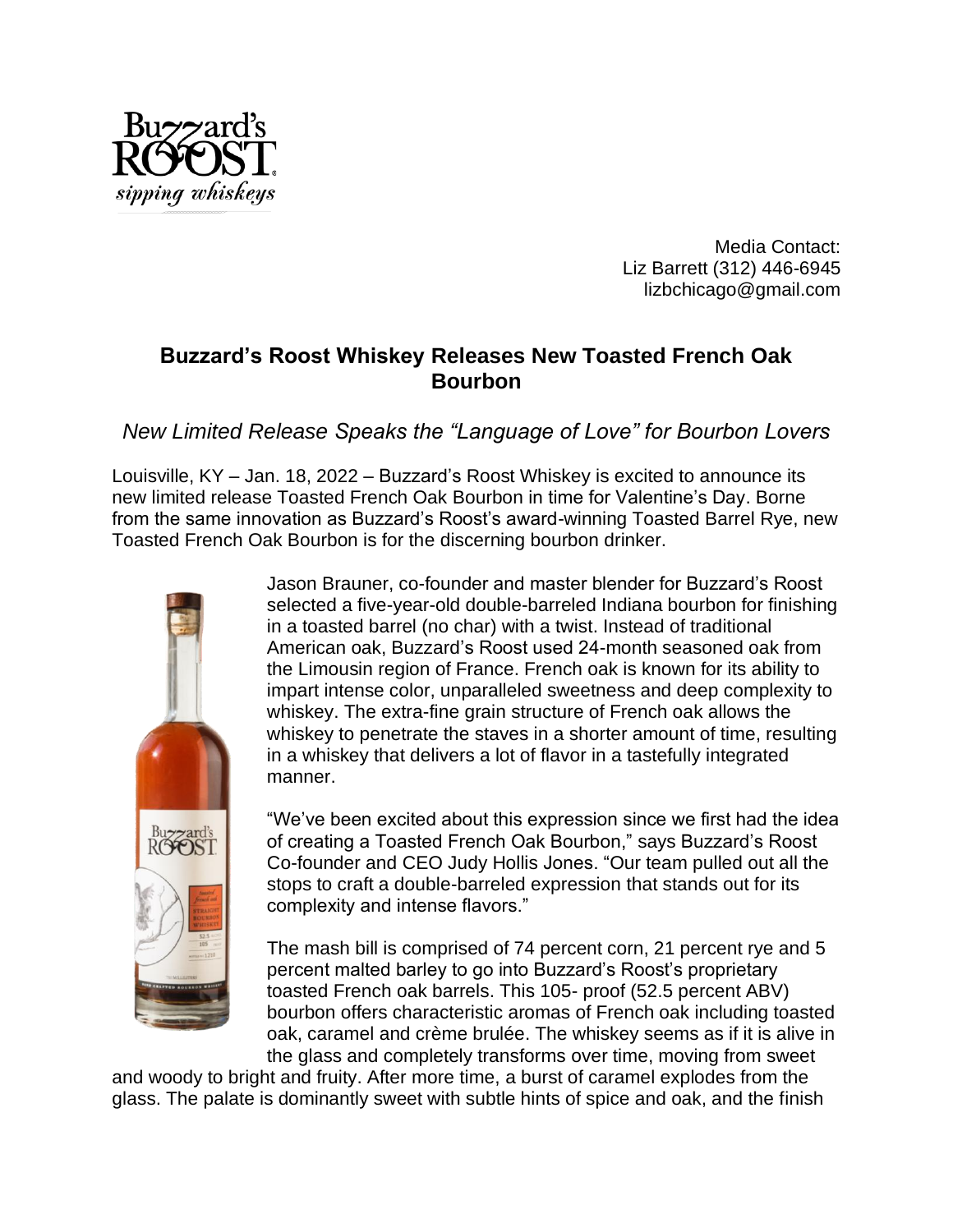

Media Contact: Liz Barrett (312) 446-6945 lizbchicago@gmail.com

## **Buzzard's Roost Whiskey Releases New Toasted French Oak Bourbon**

*New Limited Release Speaks the "Language of Love" for Bourbon Lovers*

Louisville, KY – Jan. 18, 2022 – Buzzard's Roost Whiskey is excited to announce its new limited release Toasted French Oak Bourbon in time for Valentine's Day. Borne from the same innovation as Buzzard's Roost's award-winning Toasted Barrel Rye, new Toasted French Oak Bourbon is for the discerning bourbon drinker.



Jason Brauner, co-founder and master blender for Buzzard's Roost selected a five-year-old double-barreled Indiana bourbon for finishing in a toasted barrel (no char) with a twist. Instead of traditional American oak, Buzzard's Roost used 24-month seasoned oak from the Limousin region of France. French oak is known for its ability to impart intense color, unparalleled sweetness and deep complexity to whiskey. The extra-fine grain structure of French oak allows the whiskey to penetrate the staves in a shorter amount of time, resulting in a whiskey that delivers a lot of flavor in a tastefully integrated manner.

"We've been excited about this expression since we first had the idea of creating a Toasted French Oak Bourbon," says Buzzard's Roost Co-founder and CEO Judy Hollis Jones. "Our team pulled out all the stops to craft a double-barreled expression that stands out for its complexity and intense flavors."

The mash bill is comprised of 74 percent corn, 21 percent rye and 5 percent malted barley to go into Buzzard's Roost's proprietary toasted French oak barrels. This 105- proof (52.5 percent ABV) bourbon offers characteristic aromas of French oak including toasted oak, caramel and crème brulée. The whiskey seems as if it is alive in the glass and completely transforms over time, moving from sweet

and woody to bright and fruity. After more time, a burst of caramel explodes from the glass. The palate is dominantly sweet with subtle hints of spice and oak, and the finish